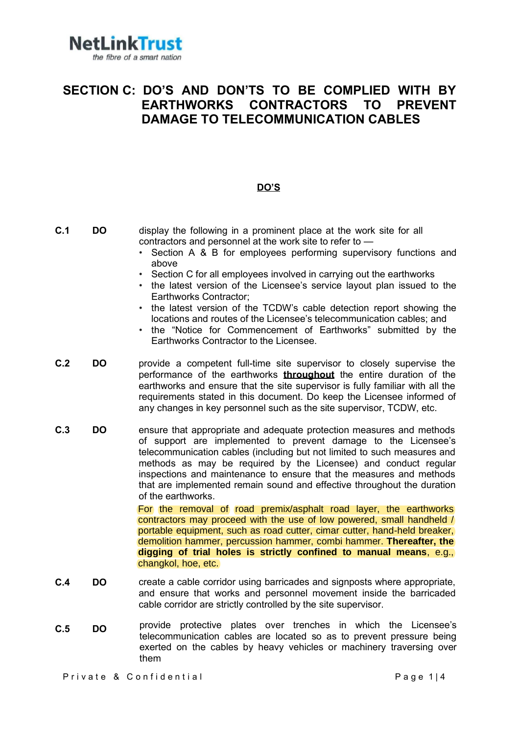

### SECTION C: DO'S AND DON'TS TO BE COMPLIED WITH BY EARTHWORKS CONTRACTORS TO PREVENT DAMAGE TO TELECOMMUNICATION CABLES

### DO'S

| C.1 | <b>DO</b> | display the following in a prominent place at the work site for all<br>contractors and personnel at the work site to refer to -<br>Section A & B for employees performing supervisory functions and<br>above<br>Section C for all employees involved in carrying out the earthworks<br>$\bullet$<br>the latest version of the Licensee's service layout plan issued to the<br>Earthworks Contractor;<br>the latest version of the TCDW's cable detection report showing the<br>locations and routes of the Licensee's telecommunication cables; and<br>the "Notice for Commencement of Earthworks" submitted by the<br>Earthworks Contractor to the Licensee.                                                                                                                                                                                                |
|-----|-----------|--------------------------------------------------------------------------------------------------------------------------------------------------------------------------------------------------------------------------------------------------------------------------------------------------------------------------------------------------------------------------------------------------------------------------------------------------------------------------------------------------------------------------------------------------------------------------------------------------------------------------------------------------------------------------------------------------------------------------------------------------------------------------------------------------------------------------------------------------------------|
| C.2 | <b>DO</b> | provide a competent full-time site supervisor to closely supervise the<br>performance of the earthworks <b>throughout</b> the entire duration of the<br>earthworks and ensure that the site supervisor is fully familiar with all the<br>requirements stated in this document. Do keep the Licensee informed of<br>any changes in key personnel such as the site supervisor, TCDW, etc.                                                                                                                                                                                                                                                                                                                                                                                                                                                                      |
| C.3 | <b>DO</b> | ensure that appropriate and adequate protection measures and methods<br>of support are implemented to prevent damage to the Licensee's<br>telecommunication cables (including but not limited to such measures and<br>methods as may be required by the Licensee) and conduct regular<br>inspections and maintenance to ensure that the measures and methods<br>that are implemented remain sound and effective throughout the duration<br>of the earthworks.<br>For the removal of road premix/asphalt road layer, the earthworks<br>contractors may proceed with the use of low powered, small handheld /<br>portable equipment, such as road cutter, cimar cutter, hand-held breaker,<br>demolition hammer, percussion hammer, combi hammer. Thereafter, the<br>digging of trial holes is strictly confined to manual means, e.g.,<br>changkol, hoe, etc. |
| C.4 | <b>DO</b> | create a cable corridor using barricades and signposts where appropriate,<br>and ensure that works and personnel movement inside the barricaded<br>cable corridor are strictly controlled by the site supervisor.                                                                                                                                                                                                                                                                                                                                                                                                                                                                                                                                                                                                                                            |
| C.5 | <b>DO</b> | provide protective plates over trenches in which the Licensee's<br>telecommunication cables are located so as to prevent pressure being<br>exerted on the cables by heavy vehicles or machinery traversing over<br>them                                                                                                                                                                                                                                                                                                                                                                                                                                                                                                                                                                                                                                      |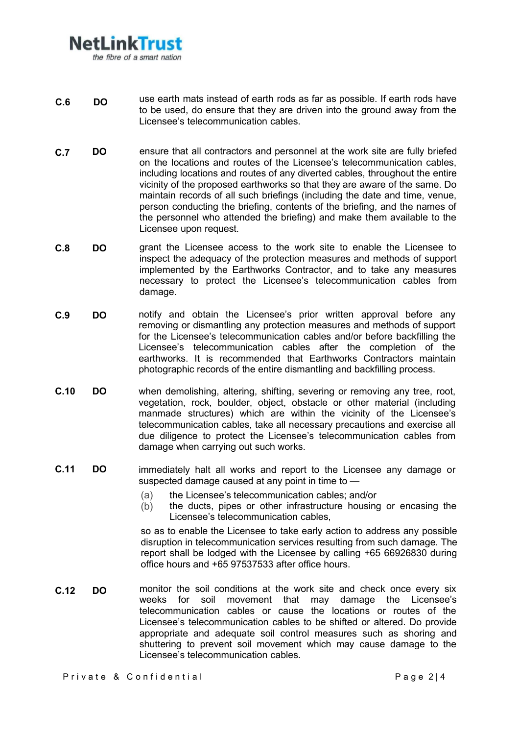## NetLinkTrust the fibre of a smart nation

- use earth mats instead of earth rods as far as possible. If earth rods have to be used, do ensure that they are driven into the ground away from the Licensee's telecommunication cables. C.6 DO
- C.7 DO ensure that all contractors and personnel at the work site are fully briefed on the locations and routes of the Licensee's telecommunication cables, including locations and routes of any diverted cables, throughout the entire vicinity of the proposed earthworks so that they are aware of the same. Do maintain records of all such briefings (including the date and time, venue, person conducting the briefing, contents of the briefing, and the names of the personnel who attended the briefing) and make them available to the Licensee upon request.
- C.8 DO grant the Licensee access to the work site to enable the Licensee to inspect the adequacy of the protection measures and methods of support implemented by the Earthworks Contractor, and to take any measures necessary to protect the Licensee's telecommunication cables from damage.
- C.9 DO notify and obtain the Licensee's prior written approval before any removing or dismantling any protection measures and methods of support for the Licensee's telecommunication cables and/or before backfilling the Licensee's telecommunication cables after the completion of the earthworks. It is recommended that Earthworks Contractors maintain photographic records of the entire dismantling and backfilling process.
- C.10 DO when demolishing, altering, shifting, severing or removing any tree, root, vegetation, rock, boulder, object, obstacle or other material (including manmade structures) which are within the vicinity of the Licensee's telecommunication cables, take all necessary precautions and exercise all due diligence to protect the Licensee's telecommunication cables from damage when carrying out such works.
- C.11 DO immediately halt all works and report to the Licensee any damage or suspected damage caused at any point in time to —
	- (a) the Licensee's telecommunication cables; and/or
	- (b) the ducts, pipes or other infrastructure housing or encasing the Licensee's telecommunication cables,

so as to enable the Licensee to take early action to address any possible disruption in telecommunication services resulting from such damage. The report shall be lodged with the Licensee by calling +65 66926830 during office hours and +65 97537533 after office hours.

C.12 DO monitor the soil conditions at the work site and check once every six<br>weeks for soil movement that may damage the Licensee's soil movement that may damage the Licensee's telecommunication cables or cause the locations or routes of the Licensee's telecommunication cables to be shifted or altered. Do provide appropriate and adequate soil control measures such as shoring and shuttering to prevent soil movement which may cause damage to the Licensee's telecommunication cables.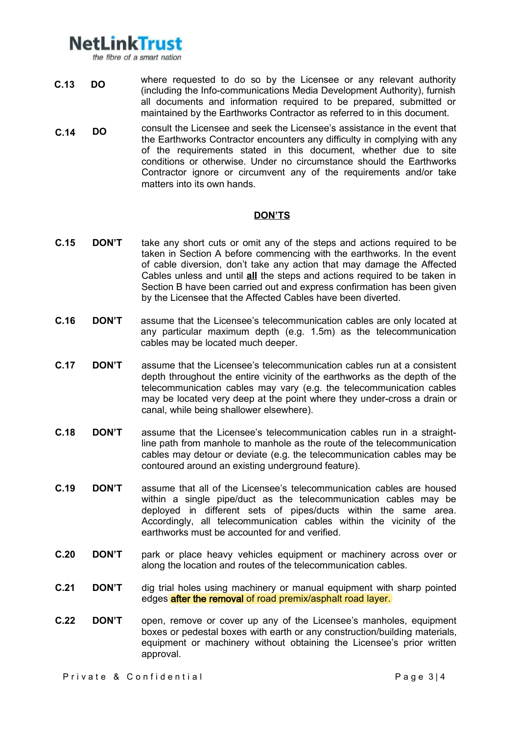# **NetLinkTrust**

the fibre of a smart nation

- C.13 DO where requested to do so by the Licensee or any relevant authority (including the Info-communications Media Development Authority), furnish all documents and information required to be prepared, submitted or maintained by the Earthworks Contractor as referred to in this document.
- consult the Licensee and seek the Licensee's assistance in the event that the Earthworks Contractor encounters any difficulty in complying with any of the requirements stated in this document, whether due to site conditions or otherwise. Under no circumstance should the Earthworks Contractor ignore or circumvent any of the requirements and/or take matters into its own hands. C.14 DO

#### DON'TS

- **C.15 DON'T** take any short cuts or omit any of the steps and actions required to be taken in Section A before commencing with the earthworks. In the event of cable diversion, don't take any action that may damage the Affected Cables unless and until all the steps and actions required to be taken in Section B have been carried out and express confirmation has been given by the Licensee that the Affected Cables have been diverted.
- C.16 DON'T assume that the Licensee's telecommunication cables are only located at any particular maximum depth (e.g. 1.5m) as the telecommunication cables may be located much deeper.
- C.17 DON'T assume that the Licensee's telecommunication cables run at a consistent depth throughout the entire vicinity of the earthworks as the depth of the telecommunication cables may vary (e.g. the telecommunication cables may be located very deep at the point where they under-cross a drain or canal, while being shallower elsewhere).
- C.18 DON'T assume that the Licensee's telecommunication cables run in a straightline path from manhole to manhole as the route of the telecommunication cables may detour or deviate (e.g. the telecommunication cables may be contoured around an existing underground feature).
- C.19 DON'T assume that all of the Licensee's telecommunication cables are housed within a single pipe/duct as the telecommunication cables may be deployed in different sets of pipes/ducts within the same area. Accordingly, all telecommunication cables within the vicinity of the earthworks must be accounted for and verified.
- C.20 DON'T park or place heavy vehicles equipment or machinery across over or along the location and routes of the telecommunication cables.
- C.21 DON'T dig trial holes using machinery or manual equipment with sharp pointed edges **after the removal** of road premix/asphalt road layer.
- C.22 DON'T open, remove or cover up any of the Licensee's manholes, equipment boxes or pedestal boxes with earth or any construction/building materials, equipment or machinery without obtaining the Licensee's prior written approval.